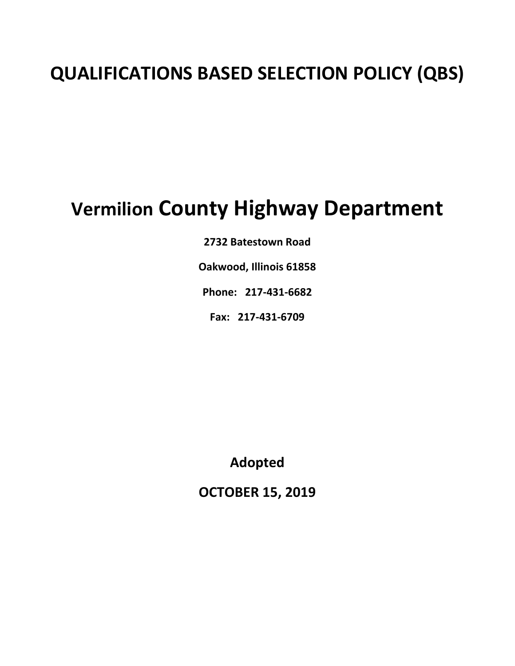# **QUALIFICATIONS BASED SELECTION POLICY (QBS)**

# **Vermilion County Highway Department**

**2732 Batestown Road** 

**Oakwood, Illinois 61858** 

**Phone: 217‐431‐6682** 

**Fax: 217‐431‐6709** 

**Adopted** 

**OCTOBER 15, 2019**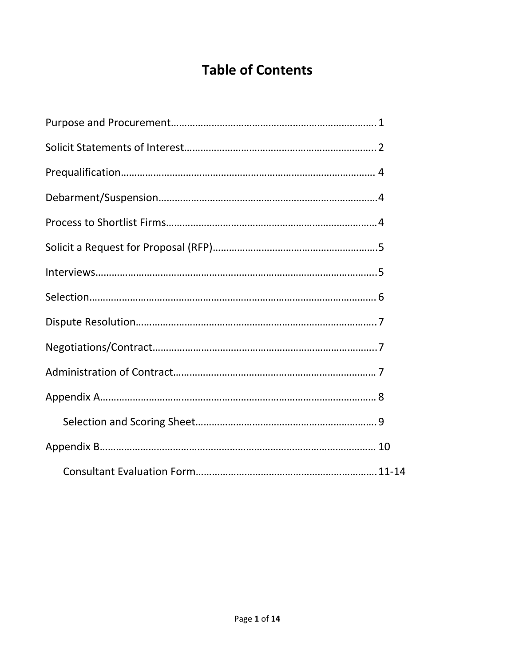## **Table of Contents**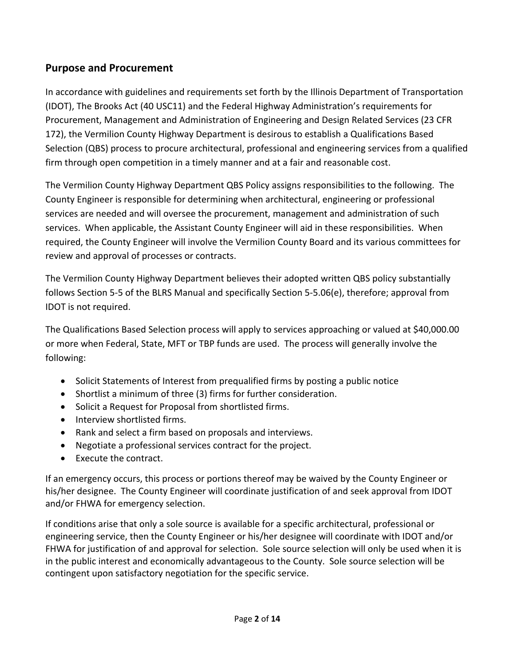#### **Purpose and Procurement**

In accordance with guidelines and requirements set forth by the Illinois Department of Transportation (IDOT), The Brooks Act (40 USC11) and the Federal Highway Administration's requirements for Procurement, Management and Administration of Engineering and Design Related Services (23 CFR 172), the Vermilion County Highway Department is desirous to establish a Qualifications Based Selection (QBS) process to procure architectural, professional and engineering services from a qualified firm through open competition in a timely manner and at a fair and reasonable cost.

The Vermilion County Highway Department QBS Policy assigns responsibilities to the following. The County Engineer is responsible for determining when architectural, engineering or professional services are needed and will oversee the procurement, management and administration of such services. When applicable, the Assistant County Engineer will aid in these responsibilities. When required, the County Engineer will involve the Vermilion County Board and its various committees for review and approval of processes or contracts.

The Vermilion County Highway Department believes their adopted written QBS policy substantially follows Section 5‐5 of the BLRS Manual and specifically Section 5‐5.06(e), therefore; approval from IDOT is not required.

The Qualifications Based Selection process will apply to services approaching or valued at \$40,000.00 or more when Federal, State, MFT or TBP funds are used. The process will generally involve the following:

- Solicit Statements of Interest from prequalified firms by posting a public notice
- Shortlist a minimum of three (3) firms for further consideration.
- Solicit a Request for Proposal from shortlisted firms.
- Interview shortlisted firms.
- Rank and select a firm based on proposals and interviews.
- Negotiate a professional services contract for the project.
- Execute the contract.

If an emergency occurs, this process or portions thereof may be waived by the County Engineer or his/her designee. The County Engineer will coordinate justification of and seek approval from IDOT and/or FHWA for emergency selection.

If conditions arise that only a sole source is available for a specific architectural, professional or engineering service, then the County Engineer or his/her designee will coordinate with IDOT and/or FHWA for justification of and approval for selection. Sole source selection will only be used when it is in the public interest and economically advantageous to the County. Sole source selection will be contingent upon satisfactory negotiation for the specific service.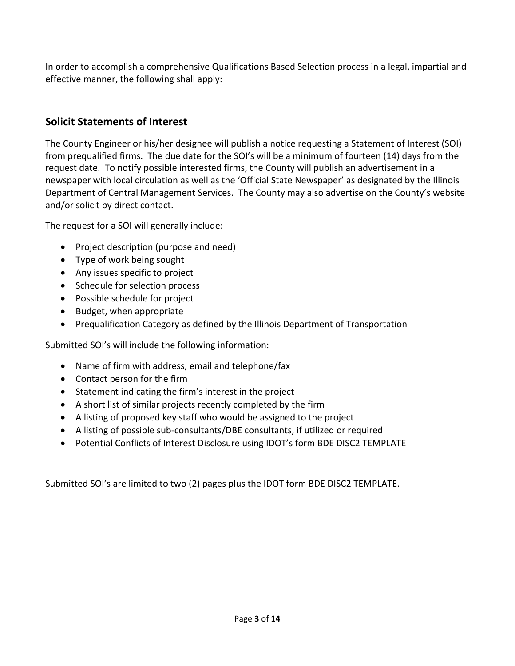In order to accomplish a comprehensive Qualifications Based Selection process in a legal, impartial and effective manner, the following shall apply:

#### **Solicit Statements of Interest**

The County Engineer or his/her designee will publish a notice requesting a Statement of Interest (SOI) from prequalified firms. The due date for the SOI's will be a minimum of fourteen (14) days from the request date. To notify possible interested firms, the County will publish an advertisement in a newspaper with local circulation as well as the 'Official State Newspaper' as designated by the Illinois Department of Central Management Services. The County may also advertise on the County's website and/or solicit by direct contact.

The request for a SOI will generally include:

- Project description (purpose and need)
- Type of work being sought
- Any issues specific to project
- Schedule for selection process
- Possible schedule for project
- Budget, when appropriate
- Prequalification Category as defined by the Illinois Department of Transportation

Submitted SOI's will include the following information:

- Name of firm with address, email and telephone/fax
- Contact person for the firm
- Statement indicating the firm's interest in the project
- A short list of similar projects recently completed by the firm
- A listing of proposed key staff who would be assigned to the project
- A listing of possible sub‐consultants/DBE consultants, if utilized or required
- Potential Conflicts of Interest Disclosure using IDOT's form BDE DISC2 TEMPLATE

Submitted SOI's are limited to two (2) pages plus the IDOT form BDE DISC2 TEMPLATE.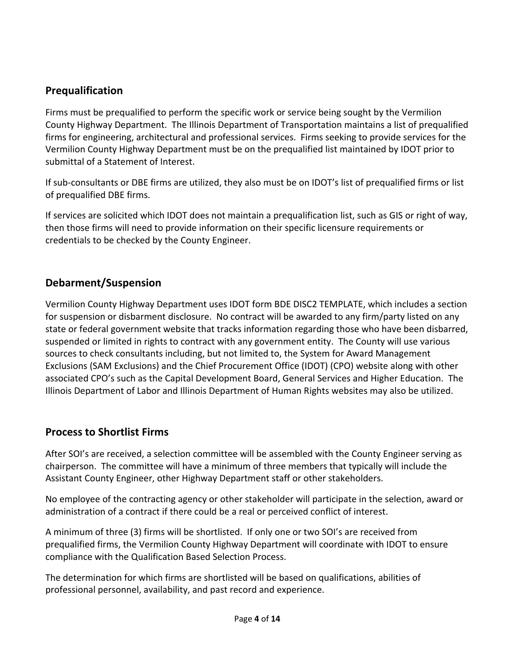#### **Prequalification**

Firms must be prequalified to perform the specific work or service being sought by the Vermilion County Highway Department. The Illinois Department of Transportation maintains a list of prequalified firms for engineering, architectural and professional services. Firms seeking to provide services for the Vermilion County Highway Department must be on the prequalified list maintained by IDOT prior to submittal of a Statement of Interest.

If sub‐consultants or DBE firms are utilized, they also must be on IDOT's list of prequalified firms or list of prequalified DBE firms.

If services are solicited which IDOT does not maintain a prequalification list, such as GIS or right of way, then those firms will need to provide information on their specific licensure requirements or credentials to be checked by the County Engineer.

#### **Debarment/Suspension**

Vermilion County Highway Department uses IDOT form BDE DISC2 TEMPLATE, which includes a section for suspension or disbarment disclosure. No contract will be awarded to any firm/party listed on any state or federal government website that tracks information regarding those who have been disbarred, suspended or limited in rights to contract with any government entity. The County will use various sources to check consultants including, but not limited to, the System for Award Management Exclusions (SAM Exclusions) and the Chief Procurement Office (IDOT) (CPO) website along with other associated CPO's such as the Capital Development Board, General Services and Higher Education. The Illinois Department of Labor and Illinois Department of Human Rights websites may also be utilized.

#### **Process to Shortlist Firms**

After SOI's are received, a selection committee will be assembled with the County Engineer serving as chairperson. The committee will have a minimum of three members that typically will include the Assistant County Engineer, other Highway Department staff or other stakeholders.

No employee of the contracting agency or other stakeholder will participate in the selection, award or administration of a contract if there could be a real or perceived conflict of interest.

A minimum of three (3) firms will be shortlisted. If only one or two SOI's are received from prequalified firms, the Vermilion County Highway Department will coordinate with IDOT to ensure compliance with the Qualification Based Selection Process.

The determination for which firms are shortlisted will be based on qualifications, abilities of professional personnel, availability, and past record and experience.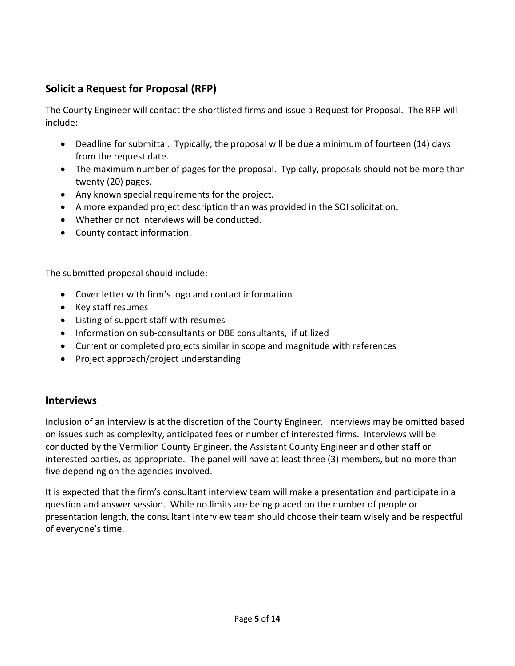#### **Solicit a Request for Proposal (RFP)**

The County Engineer will contact the shortlisted firms and issue a Request for Proposal. The RFP will include:

- Deadline for submittal. Typically, the proposal will be due a minimum of fourteen (14) days from the request date.
- The maximum number of pages for the proposal. Typically, proposals should not be more than twenty (20) pages.
- Any known special requirements for the project.
- A more expanded project description than was provided in the SOI solicitation.
- Whether or not interviews will be conducted.
- County contact information.

The submitted proposal should include:

- Cover letter with firm's logo and contact information
- Key staff resumes
- Listing of support staff with resumes
- Information on sub-consultants or DBE consultants, if utilized
- Current or completed projects similar in scope and magnitude with references
- Project approach/project understanding

#### **Interviews**

Inclusion of an interview is at the discretion of the County Engineer. Interviews may be omitted based on issues such as complexity, anticipated fees or number of interested firms. Interviews will be conducted by the Vermilion County Engineer, the Assistant County Engineer and other staff or interested parties, as appropriate. The panel will have at least three (3) members, but no more than five depending on the agencies involved.

It is expected that the firm's consultant interview team will make a presentation and participate in a question and answer session. While no limits are being placed on the number of people or presentation length, the consultant interview team should choose their team wisely and be respectful of everyone's time.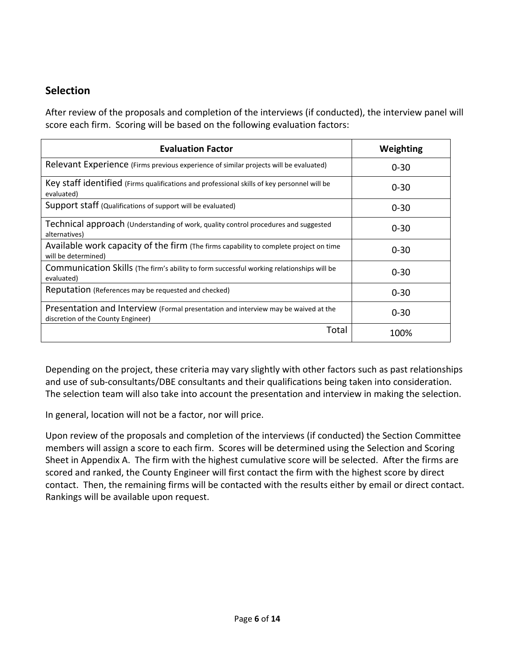#### **Selection**

After review of the proposals and completion of the interviews (if conducted), the interview panel will score each firm. Scoring will be based on the following evaluation factors:

| <b>Evaluation Factor</b>                                                                                                 | Weighting |
|--------------------------------------------------------------------------------------------------------------------------|-----------|
| Relevant Experience (Firms previous experience of similar projects will be evaluated)                                    | $0 - 30$  |
| Key staff identified (Firms qualifications and professional skills of key personnel will be<br>evaluated)                | $0 - 30$  |
| Support staff (Qualifications of support will be evaluated)                                                              | $0 - 30$  |
| Technical approach (Understanding of work, quality control procedures and suggested<br>alternatives)                     | $0 - 30$  |
| Available work capacity of the firm (The firms capability to complete project on time<br>will be determined)             | $0 - 30$  |
| Communication Skills (The firm's ability to form successful working relationships will be<br>evaluated)                  | $0 - 30$  |
| Reputation (References may be requested and checked)                                                                     | $0 - 30$  |
| Presentation and Interview (Formal presentation and interview may be waived at the<br>discretion of the County Engineer) | $0 - 30$  |
| Total                                                                                                                    | 100%      |

Depending on the project, these criteria may vary slightly with other factors such as past relationships and use of sub-consultants/DBE consultants and their qualifications being taken into consideration. The selection team will also take into account the presentation and interview in making the selection.

In general, location will not be a factor, nor will price.

Upon review of the proposals and completion of the interviews (if conducted) the Section Committee members will assign a score to each firm. Scores will be determined using the Selection and Scoring Sheet in Appendix A. The firm with the highest cumulative score will be selected. After the firms are scored and ranked, the County Engineer will first contact the firm with the highest score by direct contact. Then, the remaining firms will be contacted with the results either by email or direct contact. Rankings will be available upon request.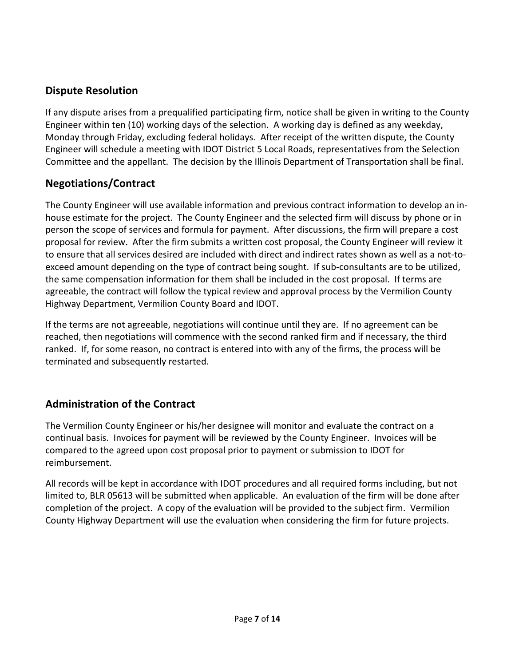#### **Dispute Resolution**

If any dispute arises from a prequalified participating firm, notice shall be given in writing to the County Engineer within ten (10) working days of the selection. A working day is defined as any weekday, Monday through Friday, excluding federal holidays. After receipt of the written dispute, the County Engineer will schedule a meeting with IDOT District 5 Local Roads, representatives from the Selection Committee and the appellant. The decision by the Illinois Department of Transportation shall be final.

#### **Negotiations/Contract**

The County Engineer will use available information and previous contract information to develop an in‐ house estimate for the project. The County Engineer and the selected firm will discuss by phone or in person the scope of services and formula for payment. After discussions, the firm will prepare a cost proposal for review. After the firm submits a written cost proposal, the County Engineer will review it to ensure that all services desired are included with direct and indirect rates shown as well as a not-toexceed amount depending on the type of contract being sought. If sub-consultants are to be utilized, the same compensation information for them shall be included in the cost proposal. If terms are agreeable, the contract will follow the typical review and approval process by the Vermilion County Highway Department, Vermilion County Board and IDOT.

If the terms are not agreeable, negotiations will continue until they are. If no agreement can be reached, then negotiations will commence with the second ranked firm and if necessary, the third ranked. If, for some reason, no contract is entered into with any of the firms, the process will be terminated and subsequently restarted.

#### **Administration of the Contract**

The Vermilion County Engineer or his/her designee will monitor and evaluate the contract on a continual basis. Invoices for payment will be reviewed by the County Engineer. Invoices will be compared to the agreed upon cost proposal prior to payment or submission to IDOT for reimbursement.

All records will be kept in accordance with IDOT procedures and all required forms including, but not limited to, BLR 05613 will be submitted when applicable. An evaluation of the firm will be done after completion of the project. A copy of the evaluation will be provided to the subject firm. Vermilion County Highway Department will use the evaluation when considering the firm for future projects.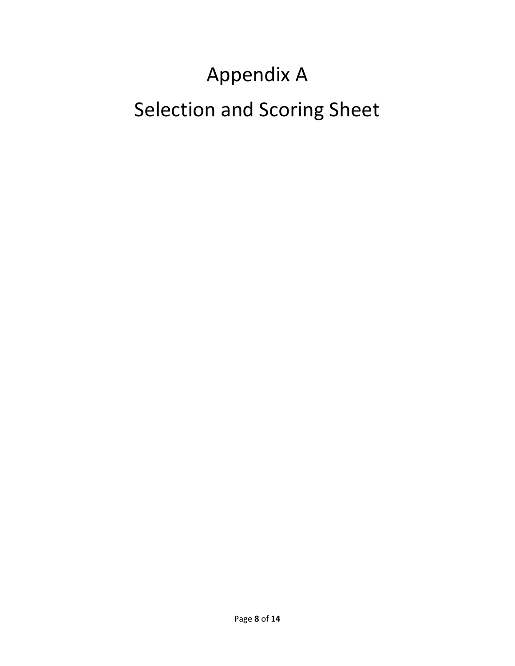# Appendix A Selection and Scoring Sheet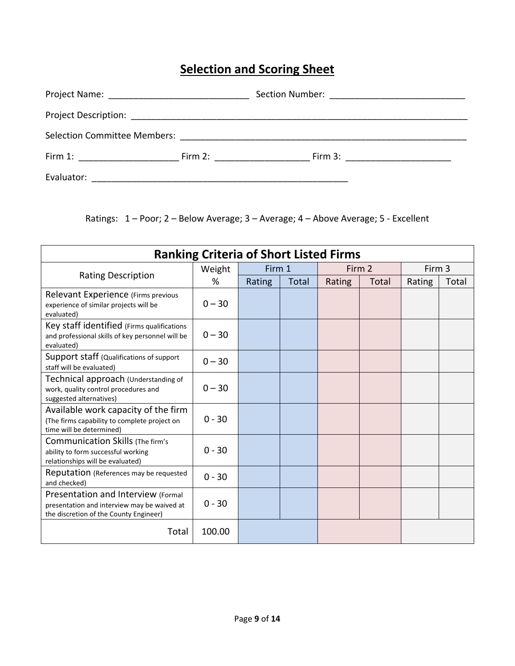### **Selection and Scoring Sheet**

| Selection Committee Members: Selection Committee Members:                                                                                                                                                                      |                                                                                                                                                                                                                                |                                                                                                                                                                                                                                                                                               |
|--------------------------------------------------------------------------------------------------------------------------------------------------------------------------------------------------------------------------------|--------------------------------------------------------------------------------------------------------------------------------------------------------------------------------------------------------------------------------|-----------------------------------------------------------------------------------------------------------------------------------------------------------------------------------------------------------------------------------------------------------------------------------------------|
| Firm 1: the contract of the contract of the contract of the contract of the contract of the contract of the contract of the contract of the contract of the contract of the contract of the contract of the contract of the co | Firm 2: the contract of the contract of the contract of the contract of the contract of the contract of the contract of the contract of the contract of the contract of the contract of the contract of the contract of the co | Firm 3: $\frac{1}{2}$ and $\frac{1}{2}$ and $\frac{1}{2}$ and $\frac{1}{2}$ and $\frac{1}{2}$ and $\frac{1}{2}$ and $\frac{1}{2}$ and $\frac{1}{2}$ and $\frac{1}{2}$ and $\frac{1}{2}$ and $\frac{1}{2}$ and $\frac{1}{2}$ and $\frac{1}{2}$ and $\frac{1}{2}$ and $\frac{1}{2}$ and $\frac$ |
| Evaluator:                                                                                                                                                                                                                     |                                                                                                                                                                                                                                |                                                                                                                                                                                                                                                                                               |

Ratings: 1 – Poor; 2 – Below Average; 3 – Average; 4 – Above Average; 5 ‐ Excellent

| <b>Ranking Criteria of Short Listed Firms</b>                                                                               |          |        |       |        |       |        |       |
|-----------------------------------------------------------------------------------------------------------------------------|----------|--------|-------|--------|-------|--------|-------|
|                                                                                                                             | Weight   | Firm 1 |       | Firm 2 |       | Firm 3 |       |
| <b>Rating Description</b>                                                                                                   | %        | Rating | Total | Rating | Total | Rating | Total |
| Relevant Experience (Firms previous<br>experience of similar projects will be<br>evaluated)                                 | $0 - 30$ |        |       |        |       |        |       |
| Key staff identified (Firms qualifications<br>and professional skills of key personnel will be<br>evaluated)                | $0 - 30$ |        |       |        |       |        |       |
| Support staff (Qualifications of support<br>staff will be evaluated)                                                        | $0 - 30$ |        |       |        |       |        |       |
| Technical approach (Understanding of<br>work, quality control procedures and<br>suggested alternatives)                     | $0 - 30$ |        |       |        |       |        |       |
| Available work capacity of the firm<br>(The firms capability to complete project on<br>time will be determined)             | $0 - 30$ |        |       |        |       |        |       |
| <b>Communication Skills (The firm's</b><br>ability to form successful working<br>relationships will be evaluated)           | $0 - 30$ |        |       |        |       |        |       |
| <b>Reputation</b> (References may be requested<br>and checked)                                                              | $0 - 30$ |        |       |        |       |        |       |
| Presentation and Interview (Formal<br>presentation and interview may be waived at<br>the discretion of the County Engineer) | $0 - 30$ |        |       |        |       |        |       |
| Total                                                                                                                       | 100.00   |        |       |        |       |        |       |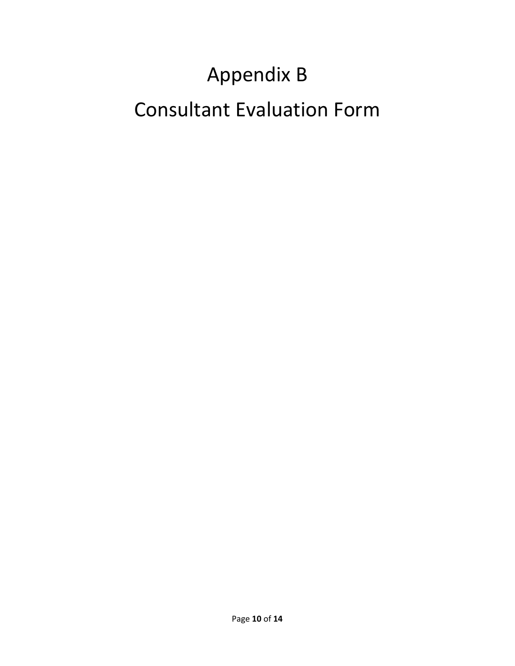# Appendix B Consultant Evaluation Form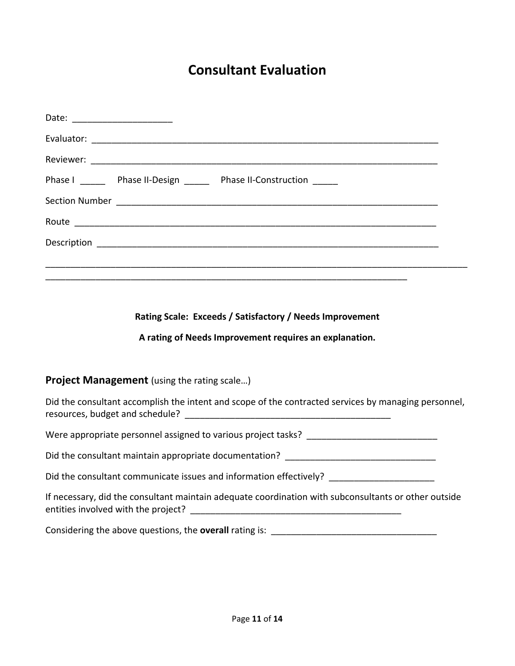### **Consultant Evaluation**

| Date: _________________________ |                                                                     |  |
|---------------------------------|---------------------------------------------------------------------|--|
|                                 |                                                                     |  |
|                                 |                                                                     |  |
|                                 | Phase I _______ Phase II-Design ______ Phase II-Construction ______ |  |
|                                 |                                                                     |  |
|                                 |                                                                     |  |
|                                 |                                                                     |  |
|                                 |                                                                     |  |
|                                 |                                                                     |  |

#### **Rating Scale: Exceeds / Satisfactory / Needs Improvement**

#### **A rating of Needs Improvement requires an explanation.**

#### **Project Management** (using the rating scale…)

Did the consultant accomplish the intent and scope of the contracted services by managing personnel, resources, budget and schedule? \_\_\_\_\_\_\_\_\_\_\_\_\_\_\_\_\_\_\_\_\_\_\_\_\_\_\_\_\_\_\_\_\_\_\_\_\_\_\_\_\_

Were appropriate personnel assigned to various project tasks? \_\_\_\_\_\_\_\_\_\_\_\_\_\_\_\_\_\_

Did the consultant maintain appropriate documentation? \_\_\_\_\_\_\_\_\_\_\_\_\_\_\_\_\_\_\_\_\_\_\_\_\_\_\_\_\_\_\_\_

Did the consultant communicate issues and information effectively? \_\_\_\_\_\_\_\_\_\_\_\_\_

|                                     | If necessary, did the consultant maintain adequate coordination with subconsultants or other outside |  |
|-------------------------------------|------------------------------------------------------------------------------------------------------|--|
| entities involved with the project? |                                                                                                      |  |

Considering the above questions, the **overall** rating is: \_\_\_\_\_\_\_\_\_\_\_\_\_\_\_\_\_\_\_\_\_\_\_\_\_\_\_\_\_\_\_\_\_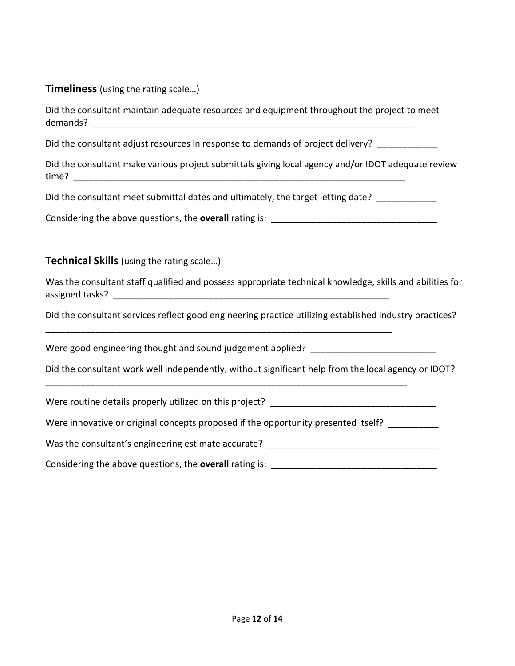## **Timeliness** (using the rating scale…)

| Did the consultant maintain adequate resources and equipment throughout the project to meet              |
|----------------------------------------------------------------------------------------------------------|
| Did the consultant adjust resources in response to demands of project delivery?                          |
| Did the consultant make various project submittals giving local agency and/or IDOT adequate review       |
| Did the consultant meet submittal dates and ultimately, the target letting date? __________              |
|                                                                                                          |
| <b>Technical Skills</b> (using the rating scale)                                                         |
| Was the consultant staff qualified and possess appropriate technical knowledge, skills and abilities for |
| Did the consultant services reflect good engineering practice utilizing established industry practices?  |
| Were good engineering thought and sound judgement applied? ______________________                        |
| Did the consultant work well independently, without significant help from the local agency or IDOT?      |
|                                                                                                          |
| Were innovative or original concepts proposed if the opportunity presented itself? _________             |
| Was the consultant's engineering estimate accurate? _____________________________                        |
|                                                                                                          |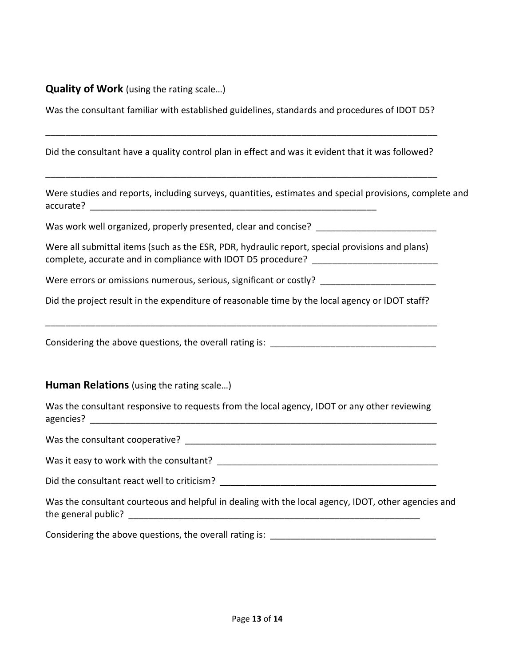**Quality of Work** (using the rating scale…)

Was the consultant familiar with established guidelines, standards and procedures of IDOT D5?

\_\_\_\_\_\_\_\_\_\_\_\_\_\_\_\_\_\_\_\_\_\_\_\_\_\_\_\_\_\_\_\_\_\_\_\_\_\_\_\_\_\_\_\_\_\_\_\_\_\_\_\_\_\_\_\_\_\_\_\_\_\_\_\_\_\_\_\_\_\_\_\_\_\_\_\_\_\_

Did the consultant have a quality control plan in effect and was it evident that it was followed? \_\_\_\_\_\_\_\_\_\_\_\_\_\_\_\_\_\_\_\_\_\_\_\_\_\_\_\_\_\_\_\_\_\_\_\_\_\_\_\_\_\_\_\_\_\_\_\_\_\_\_\_\_\_\_\_\_\_\_\_\_\_\_\_\_\_\_\_\_\_\_\_\_\_\_\_\_\_ Were studies and reports, including surveys, quantities, estimates and special provisions, complete and accurate? \_\_\_\_\_\_\_\_\_\_\_\_\_\_\_\_\_\_\_\_\_\_\_\_\_\_\_\_\_\_\_\_\_\_\_\_\_\_\_\_\_\_\_\_\_\_\_\_\_\_\_\_\_\_\_\_\_ Was work well organized, properly presented, clear and concise? Were all submittal items (such as the ESR, PDR, hydraulic report, special provisions and plans) complete, accurate and in compliance with IDOT D5 procedure? Were errors or omissions numerous, serious, significant or costly? Did the project result in the expenditure of reasonable time by the local agency or IDOT staff? \_\_\_\_\_\_\_\_\_\_\_\_\_\_\_\_\_\_\_\_\_\_\_\_\_\_\_\_\_\_\_\_\_\_\_\_\_\_\_\_\_\_\_\_\_\_\_\_\_\_\_\_\_\_\_\_\_\_\_\_\_\_\_\_\_\_\_\_\_\_\_\_\_\_\_\_\_\_ Considering the above questions, the overall rating is: **Human Relations** (using the rating scale…) Was the consultant responsive to requests from the local agency, IDOT or any other reviewing agencies? **and a set of the set of the set of the set of the set of the set of the set of the set of the set of the set of the set of the set of the set of the set of the set of the set of the set of the set of the set of** Was the consultant cooperative? **Was the consultant** Was it easy to work with the consultant? Was in the set of the set of the set of the set of the set of the set o Did the consultant react well to criticism? \_\_\_\_\_\_\_\_\_\_\_\_\_\_\_\_\_\_\_\_\_\_\_\_\_\_\_\_\_\_\_\_\_\_\_\_\_\_\_\_\_\_\_ Was the consultant courteous and helpful in dealing with the local agency, IDOT, other agencies and the general public? The general public  $\sim$ Considering the above questions, the overall rating is: \_\_\_\_\_\_\_\_\_\_\_\_\_\_\_\_\_\_\_\_\_\_\_\_\_\_\_\_\_\_\_\_\_